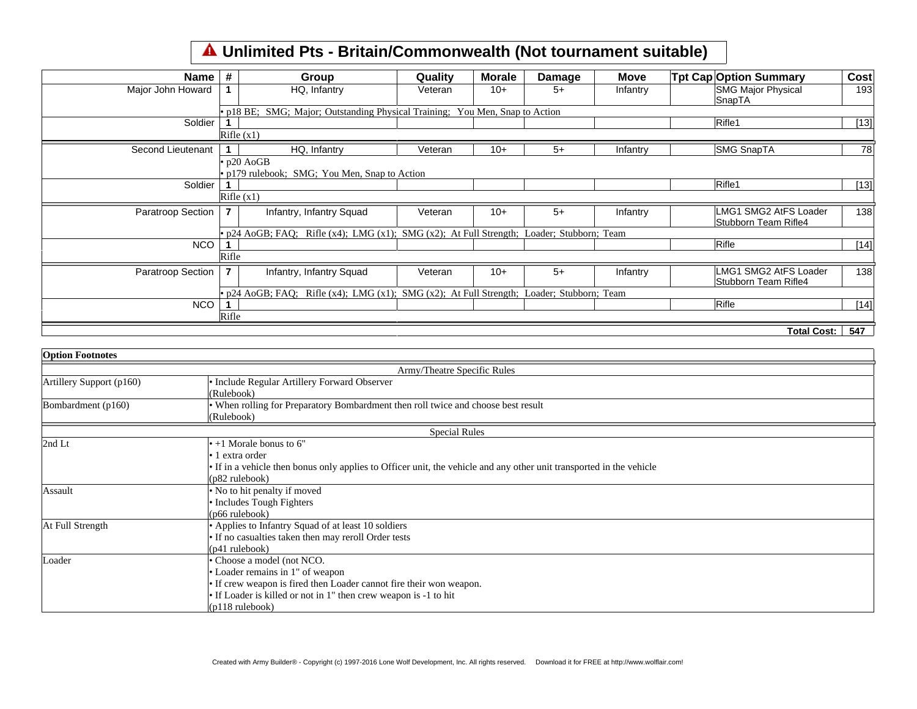## **Unlimited Pts - Britain/Commonwealth (Not tournament suitable)**

| Name              | #                                                                            | Group                                                                                              | Quality | <b>Morale</b> | Damage | <b>Move</b> | <b>Tpt Cap Option Summary</b>                 | <b>Cost</b> |  |
|-------------------|------------------------------------------------------------------------------|----------------------------------------------------------------------------------------------------|---------|---------------|--------|-------------|-----------------------------------------------|-------------|--|
| Major John Howard |                                                                              | HQ, Infantry                                                                                       | Veteran | $10+$         | $5+$   | Infantry    | <b>SMG Major Physical</b><br>SnapTA           | 193         |  |
|                   | • p18 BE; SMG; Major; Outstanding Physical Training; You Men, Snap to Action |                                                                                                    |         |               |        |             |                                               |             |  |
| Soldier           |                                                                              |                                                                                                    |         |               |        |             | Rifle1                                        | [13]        |  |
|                   |                                                                              | Rifle (x1)                                                                                         |         |               |        |             |                                               |             |  |
| Second Lieutenant |                                                                              | HQ, Infantry                                                                                       | Veteran | $10+$         | $5+$   | Infantry    | <b>SMG SnapTA</b>                             | 78          |  |
|                   |                                                                              | $\cdot$ p20 AoGB                                                                                   |         |               |        |             |                                               |             |  |
|                   |                                                                              | • p179 rulebook; SMG; You Men, Snap to Action                                                      |         |               |        |             |                                               |             |  |
| Soldier           |                                                                              |                                                                                                    |         |               |        |             | Rifle1                                        | $[13]$      |  |
|                   |                                                                              | Rifle (x1)                                                                                         |         |               |        |             |                                               |             |  |
| Paratroop Section | $\overline{7}$                                                               | Infantry, Infantry Squad                                                                           | Veteran | $10+$         | $5+$   | Infantry    | LMG1 SMG2 AtFS Loader<br>Stubborn Team Rifle4 | 138         |  |
|                   |                                                                              | • p24 AoGB; FAQ; Rifle $(x4)$ ; LMG $(x1)$ ; SMG $(x2)$ ; At Full Strength; Loader; Stubborn; Team |         |               |        |             |                                               |             |  |
| <b>NCO</b>        |                                                                              |                                                                                                    |         |               |        |             | Rifle                                         | [14]        |  |
|                   | Rifle                                                                        |                                                                                                    |         |               |        |             |                                               |             |  |
| Paratroop Section | $\overline{7}$                                                               | Infantry, Infantry Squad                                                                           | Veteran | $10+$         | $5+$   | Infantry    | LMG1 SMG2 AtFS Loader<br>Stubborn Team Rifle4 | 138         |  |
|                   |                                                                              | $\bullet$ p24 AoGB; FAQ; Rifle (x4); LMG (x1); SMG (x2); At Full Strength; Loader; Stubborn; Team  |         |               |        |             |                                               |             |  |
|                   |                                                                              |                                                                                                    |         |               |        |             | Rifle                                         | [14]        |  |
| <b>NCO</b>        |                                                                              |                                                                                                    |         |               |        |             |                                               |             |  |

| <b>Option Footnotes</b>  |                                                                                                                      |
|--------------------------|----------------------------------------------------------------------------------------------------------------------|
|                          | Army/Theatre Specific Rules                                                                                          |
| Artillery Support (p160) | • Include Regular Artillery Forward Observer                                                                         |
|                          | (Rulebook)                                                                                                           |
| Bombardment (p160)       | • When rolling for Preparatory Bombardment then roll twice and choose best result                                    |
|                          | (Rulebook)                                                                                                           |
|                          | <b>Special Rules</b>                                                                                                 |
| 2nd Lt                   | $\bullet$ +1 Morale bonus to 6"                                                                                      |
|                          | $\cdot$ 1 extra order                                                                                                |
|                          | • If in a vehicle then bonus only applies to Officer unit, the vehicle and any other unit transported in the vehicle |
|                          | (p82 rulebook)                                                                                                       |
| Assault                  | • No to hit penalty if moved                                                                                         |
|                          | • Includes Tough Fighters                                                                                            |
|                          | (p66 rulebook)                                                                                                       |
| At Full Strength         | • Applies to Infantry Squad of at least 10 soldiers                                                                  |
|                          | • If no casualties taken then may reroll Order tests                                                                 |
|                          | (p41 rulebook)                                                                                                       |
| Loader                   | • Choose a model (not NCO.                                                                                           |
|                          | • Loader remains in 1" of weapon                                                                                     |
|                          | • If crew weapon is fired then Loader cannot fire their won weapon.                                                  |
|                          | • If Loader is killed or not in 1" then crew weapon is -1 to hit                                                     |
|                          | $(p118 \text{ rulebook})$                                                                                            |